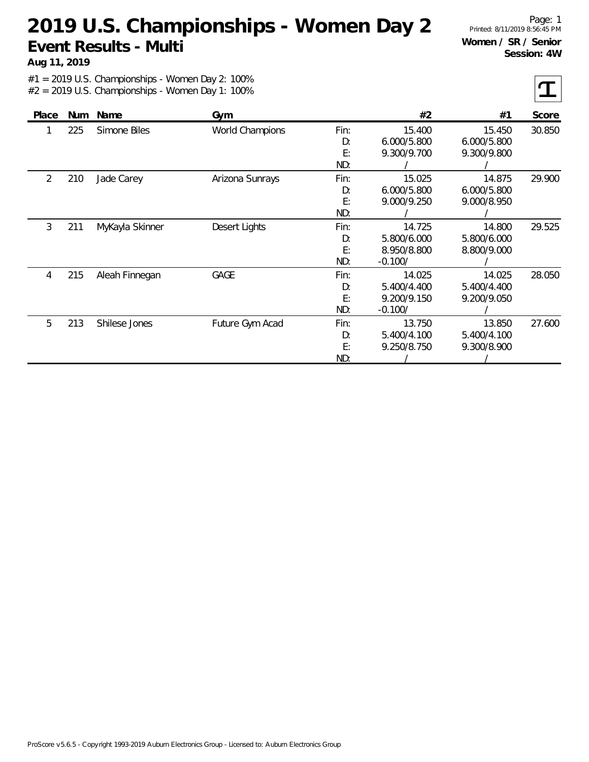**Aug 11, 2019**

Page: 1 Printed: 8/11/2019 8:56:45 PM **Women / SR / Senior Session: 4W**

| Place | <b>Num</b> | Name            | Gym                    |      | #2          | #1          | Score  |
|-------|------------|-----------------|------------------------|------|-------------|-------------|--------|
|       | 225        | Simone Biles    | <b>World Champions</b> | Fin: | 15.400      | 15.450      | 30.850 |
|       |            |                 |                        | D:   | 6.000/5.800 | 6.000/5.800 |        |
|       |            |                 |                        | E:   | 9.300/9.700 | 9.300/9.800 |        |
|       |            |                 |                        | ND:  |             |             |        |
| 2     | 210        | Jade Carey      | Arizona Sunrays        | Fin: | 15.025      | 14.875      | 29.900 |
|       |            |                 |                        | D:   | 6.000/5.800 | 6.000/5.800 |        |
|       |            |                 |                        | E:   | 9.000/9.250 | 9.000/8.950 |        |
|       |            |                 |                        | ND:  |             |             |        |
| 3     | 211        | MyKayla Skinner | Desert Lights          | Fin: | 14.725      | 14.800      | 29.525 |
|       |            |                 |                        | D:   | 5.800/6.000 | 5.800/6.000 |        |
|       |            |                 |                        | E:   | 8.950/8.800 | 8.800/9.000 |        |
|       |            |                 |                        | ND:  | $-0.100/$   |             |        |
| 4     | 215        | Aleah Finnegan  | GAGE                   | Fin: | 14.025      | 14.025      | 28.050 |
|       |            |                 |                        | D:   | 5.400/4.400 | 5.400/4.400 |        |
|       |            |                 |                        | E:   | 9.200/9.150 | 9.200/9.050 |        |
|       |            |                 |                        | ND:  | $-0.100/$   |             |        |
| 5     | 213        | Shilese Jones   | Future Gym Acad        | Fin: | 13.750      | 13.850      | 27.600 |
|       |            |                 |                        | D:   | 5.400/4.100 | 5.400/4.100 |        |
|       |            |                 |                        | E:   | 9.250/8.750 | 9.300/8.900 |        |
|       |            |                 |                        | ND:  |             |             |        |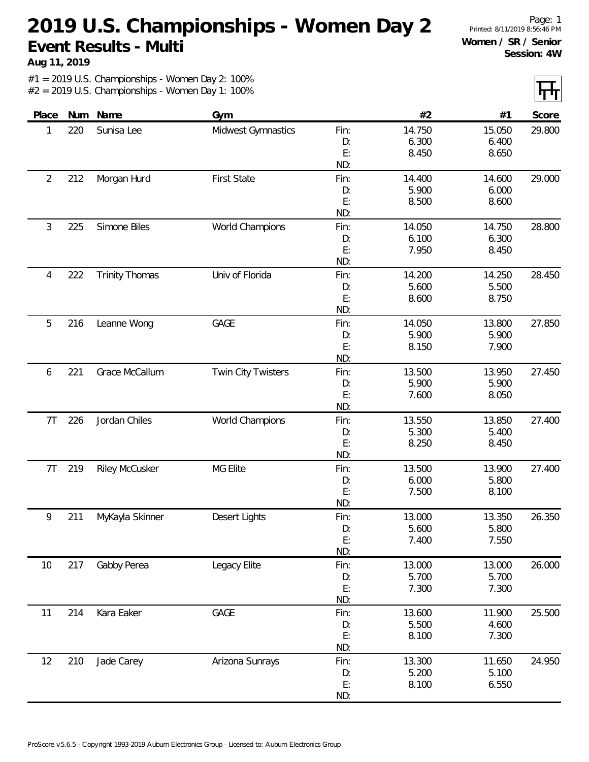**Aug 11, 2019**

Page: 1 Printed: 8/11/2019 8:56:46 PM **Women / SR / Senior Session: 4W**

IT.

|                |     |                       |                           |           |        |        | $\mathbf{L}$ |
|----------------|-----|-----------------------|---------------------------|-----------|--------|--------|--------------|
| Place          | Num | Name                  | Gym                       |           | #2     | #1     | Score        |
| 1              | 220 | Sunisa Lee            | Midwest Gymnastics        | Fin:      | 14.750 | 15.050 | 29.800       |
|                |     |                       |                           | D:        | 6.300  | 6.400  |              |
|                |     |                       |                           | E:        | 8.450  | 8.650  |              |
|                |     |                       |                           | ND:       |        |        |              |
| $\overline{2}$ | 212 | Morgan Hurd           | <b>First State</b>        | Fin:      | 14.400 | 14.600 | 29.000       |
|                |     |                       |                           | D:        | 5.900  | 6.000  |              |
|                |     |                       |                           | E:        | 8.500  | 8.600  |              |
|                |     |                       |                           | ND:       |        |        |              |
| $\mathfrak{Z}$ | 225 | Simone Biles          | World Champions           | Fin:      | 14.050 | 14.750 | 28.800       |
|                |     |                       |                           | D:        | 6.100  | 6.300  |              |
|                |     |                       |                           | E:        | 7.950  | 8.450  |              |
|                |     |                       |                           | ND:       |        |        |              |
| 4              | 222 | <b>Trinity Thomas</b> | Univ of Florida           | Fin:      | 14.200 | 14.250 | 28.450       |
|                |     |                       |                           | D:        | 5.600  | 5.500  |              |
|                |     |                       |                           | E:        | 8.600  | 8.750  |              |
|                |     |                       |                           | ND:       |        |        |              |
| 5              | 216 | Leanne Wong           | GAGE                      | Fin:      | 14.050 | 13.800 | 27.850       |
|                |     |                       |                           | D:        | 5.900  | 5.900  |              |
|                |     |                       |                           | E:        | 8.150  | 7.900  |              |
|                |     |                       |                           | ND:       |        |        |              |
| 6              | 221 | Grace McCallum        | <b>Twin City Twisters</b> | Fin:      | 13.500 | 13.950 | 27.450       |
|                |     |                       |                           | D:        | 5.900  | 5.900  |              |
|                |     |                       |                           | E:        | 7.600  | 8.050  |              |
|                |     |                       |                           | ND:       |        |        |              |
| 7T             | 226 | Jordan Chiles         | World Champions           | Fin:      | 13.550 | 13.850 | 27.400       |
|                |     |                       |                           | D:        | 5.300  | 5.400  |              |
|                |     |                       |                           | E:<br>ND: | 8.250  | 8.450  |              |
| 7T             | 219 |                       | MG Elite                  | Fin:      | 13.500 | 13.900 | 27.400       |
|                |     | <b>Riley McCusker</b> |                           |           | 6.000  | 5.800  |              |
|                |     |                       |                           | D:<br>E:  | 7.500  | 8.100  |              |
|                |     |                       |                           | ND:       |        |        |              |
| 9              | 211 | MyKayla Skinner       | Desert Lights             | Fin:      | 13.000 | 13.350 | 26.350       |
|                |     |                       |                           | D:        | 5.600  | 5.800  |              |
|                |     |                       |                           | E:        | 7.400  | 7.550  |              |
|                |     |                       |                           | ND:       |        |        |              |
| 10             | 217 | Gabby Perea           | Legacy Elite              | Fin:      | 13.000 | 13.000 | 26.000       |
|                |     |                       |                           | D:        | 5.700  | 5.700  |              |
|                |     |                       |                           | E:        | 7.300  | 7.300  |              |
|                |     |                       |                           | ND:       |        |        |              |
| 11             | 214 | Kara Eaker            | GAGE                      | Fin:      | 13.600 | 11.900 | 25.500       |
|                |     |                       |                           | D:        | 5.500  | 4.600  |              |
|                |     |                       |                           | E:        | 8.100  | 7.300  |              |
|                |     |                       |                           | ND:       |        |        |              |
| 12             | 210 | Jade Carey            | Arizona Sunrays           | Fin:      | 13.300 | 11.650 | 24.950       |
|                |     |                       |                           | D:        | 5.200  | 5.100  |              |
|                |     |                       |                           | E:        | 8.100  | 6.550  |              |
|                |     |                       |                           | ND:       |        |        |              |
|                |     |                       |                           |           |        |        |              |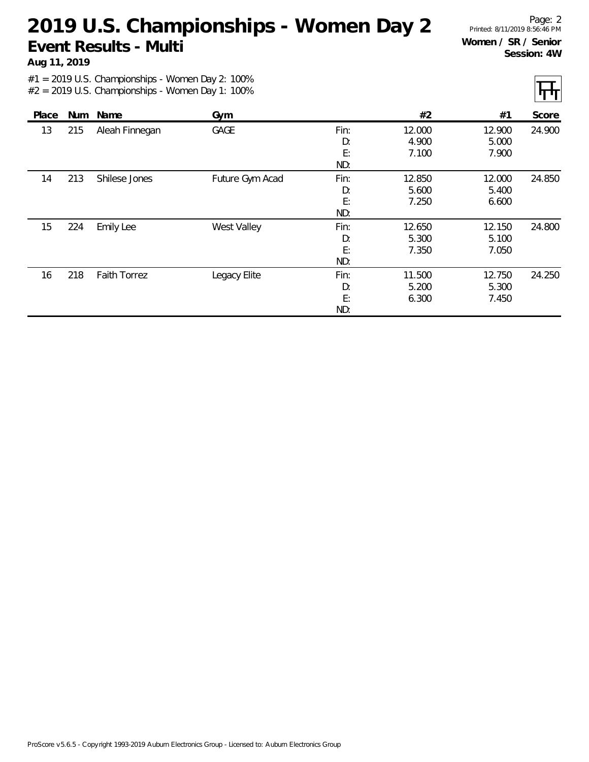**Aug 11, 2019**

Page: 2 Printed: 8/11/2019 8:56:46 PM **Women / SR / Senior Session: 4W**

| Place |     | Num Name            | Gym             |      | #2     | #1     | Score  |
|-------|-----|---------------------|-----------------|------|--------|--------|--------|
|       |     |                     |                 |      |        |        |        |
| 13    | 215 | Aleah Finnegan      | <b>GAGE</b>     | Fin: | 12.000 | 12.900 | 24.900 |
|       |     |                     |                 | D:   | 4.900  | 5.000  |        |
|       |     |                     |                 | E:   | 7.100  | 7.900  |        |
|       |     |                     |                 | ND:  |        |        |        |
| 14    | 213 | Shilese Jones       | Future Gym Acad | Fin: | 12.850 | 12.000 | 24.850 |
|       |     |                     |                 | D:   | 5.600  | 5.400  |        |
|       |     |                     |                 | E:   | 7.250  | 6.600  |        |
|       |     |                     |                 | ND:  |        |        |        |
| 15    | 224 | <b>Emily Lee</b>    | West Valley     | Fin: | 12.650 | 12.150 | 24.800 |
|       |     |                     |                 | D:   | 5.300  | 5.100  |        |
|       |     |                     |                 | E:   | 7.350  | 7.050  |        |
|       |     |                     |                 | ND:  |        |        |        |
| 16    | 218 | <b>Faith Torrez</b> | Legacy Elite    | Fin: | 11.500 | 12.750 | 24.250 |
|       |     |                     |                 | D:   | 5.200  | 5.300  |        |
|       |     |                     |                 | E:   | 6.300  | 7.450  |        |
|       |     |                     |                 | ND:  |        |        |        |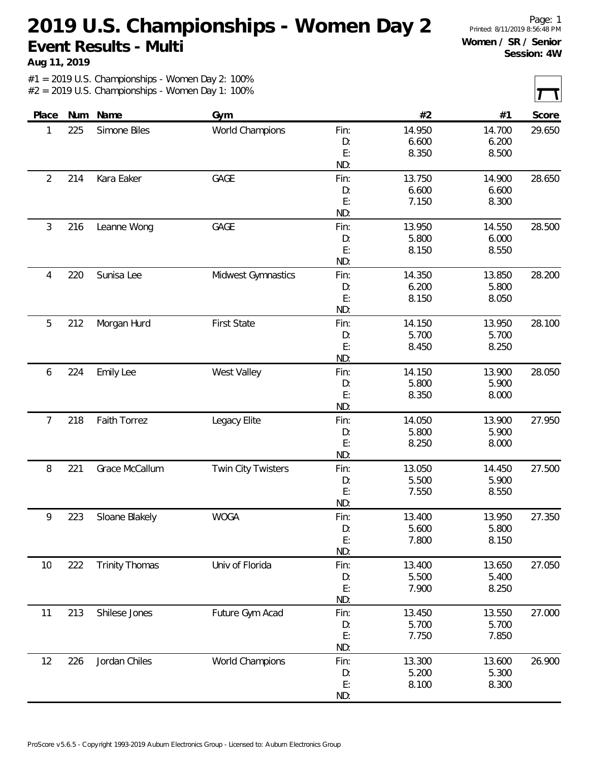**Aug 11, 2019**

Page: 1 Printed: 8/11/2019 8:56:48 PM **Women / SR / Senior Session: 4W**

| Place<br>1     | Num<br>225 | Name<br>Simone Biles  | Gym                       |      | #2     | #1     | Score  |
|----------------|------------|-----------------------|---------------------------|------|--------|--------|--------|
|                |            |                       |                           |      |        |        |        |
|                |            |                       | World Champions           | Fin: | 14.950 | 14.700 | 29.650 |
|                |            |                       |                           | D:   | 6.600  | 6.200  |        |
|                |            |                       |                           | E:   | 8.350  | 8.500  |        |
|                |            |                       |                           | ND:  |        |        |        |
| $\overline{2}$ | 214        | Kara Eaker            | GAGE                      | Fin: | 13.750 | 14.900 | 28.650 |
|                |            |                       |                           | D:   | 6.600  | 6.600  |        |
|                |            |                       |                           | E:   | 7.150  | 8.300  |        |
|                |            |                       |                           | ND:  |        |        |        |
| 3              | 216        | Leanne Wong           | GAGE                      | Fin: | 13.950 | 14.550 | 28.500 |
|                |            |                       |                           | D:   | 5.800  | 6.000  |        |
|                |            |                       |                           | E:   | 8.150  | 8.550  |        |
|                |            |                       |                           | ND:  |        |        |        |
| 4              | 220        | Sunisa Lee            | Midwest Gymnastics        | Fin: | 14.350 | 13.850 | 28.200 |
|                |            |                       |                           | D:   | 6.200  | 5.800  |        |
|                |            |                       |                           | E:   | 8.150  | 8.050  |        |
|                |            |                       |                           | ND:  |        |        |        |
| 5              | 212        | Morgan Hurd           | <b>First State</b>        | Fin: | 14.150 | 13.950 | 28.100 |
|                |            |                       |                           | D:   | 5.700  | 5.700  |        |
|                |            |                       |                           | E:   | 8.450  | 8.250  |        |
|                |            |                       |                           | ND:  |        |        |        |
| 6              | 224        | <b>Emily Lee</b>      | West Valley               | Fin: | 14.150 | 13.900 | 28.050 |
|                |            |                       |                           | D:   | 5.800  | 5.900  |        |
|                |            |                       |                           | E:   | 8.350  | 8.000  |        |
|                |            |                       |                           | ND:  |        |        |        |
| $\overline{7}$ | 218        | <b>Faith Torrez</b>   | Legacy Elite              | Fin: | 14.050 | 13.900 | 27.950 |
|                |            |                       |                           | D:   | 5.800  | 5.900  |        |
|                |            |                       |                           | E:   | 8.250  | 8.000  |        |
|                |            |                       |                           | ND:  |        |        |        |
| 8              | 221        | Grace McCallum        | <b>Twin City Twisters</b> | Fin: | 13.050 | 14.450 | 27.500 |
|                |            |                       |                           | D:   | 5.500  | 5.900  |        |
|                |            |                       |                           | E:   | 7.550  | 8.550  |        |
|                |            |                       |                           | ND:  |        |        |        |
| 9              | 223        | Sloane Blakely        | <b>WOGA</b>               | Fin: | 13.400 | 13.950 | 27.350 |
|                |            |                       |                           | D:   | 5.600  | 5.800  |        |
|                |            |                       |                           | E:   | 7.800  | 8.150  |        |
|                |            |                       |                           | ND:  |        |        |        |
| 10             | 222        | <b>Trinity Thomas</b> | Univ of Florida           | Fin: | 13.400 | 13.650 | 27.050 |
|                |            |                       |                           | D:   | 5.500  | 5.400  |        |
|                |            |                       |                           | E:   | 7.900  | 8.250  |        |
|                |            |                       |                           | ND:  |        |        |        |
| 11             | 213        | Shilese Jones         |                           | Fin: | 13.450 | 13.550 | 27.000 |
|                |            |                       |                           | D:   | 5.700  | 5.700  |        |
|                |            |                       |                           | E:   | 7.750  | 7.850  |        |
|                |            |                       |                           | ND:  |        |        |        |
| 12             | 226        | Jordan Chiles         | World Champions           | Fin: | 13.300 | 13.600 | 26.900 |
|                |            |                       |                           | D:   | 5.200  | 5.300  |        |
|                |            |                       |                           | E:   | 8.100  | 8.300  |        |
|                |            |                       |                           | ND:  |        |        |        |
|                |            |                       | Future Gym Acad           |      |        |        |        |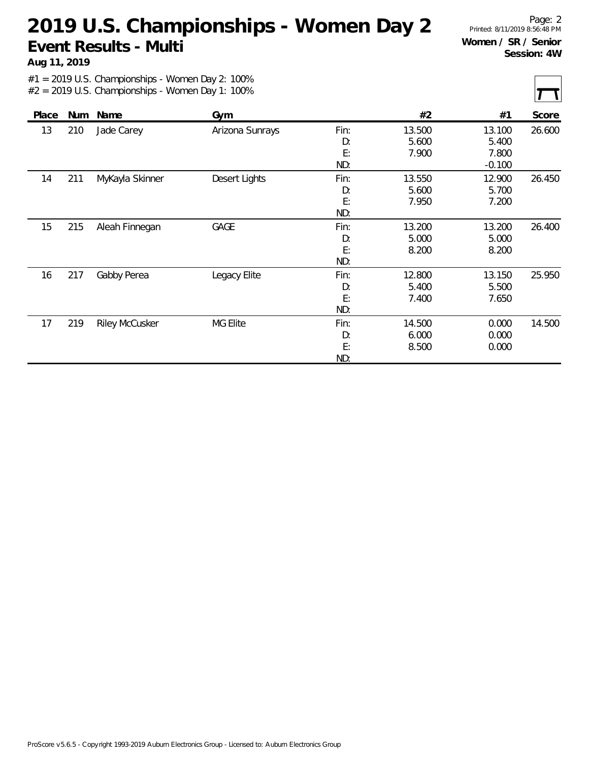**Aug 11, 2019**

Page: 2 Printed: 8/11/2019 8:56:48 PM **Women / SR / Senior Session: 4W**

| Jade Carey<br>26.600<br>13<br>210<br>Arizona Sunrays<br>Fin:<br>13.500<br>13.100<br>D:<br>5.600<br>5.400<br>E:<br>7.900<br>7.800<br>ND:<br>$-0.100$<br>211<br>12.900<br>MyKayla Skinner<br>Desert Lights<br>Fin:<br>13.550<br>26.450<br>14<br>D:<br>5.600<br>5.700<br>E:<br>7.950<br>7.200<br>ND:<br>26.400<br>15<br>215<br>GAGE<br>13.200<br>13.200<br>Aleah Finnegan<br>Fin:<br>D:<br>5.000<br>5.000<br>E:<br>8.200<br>8.200<br>ND:<br>217<br>25.950<br>Gabby Perea<br>Fin:<br>12.800<br>16<br>Legacy Elite<br>13.150<br>D:<br>5.400<br>5.500<br>E:<br>7.400<br>7.650<br>ND:<br>219<br>14.500<br>17<br><b>Riley McCusker</b><br>MG Elite<br>Fin:<br>0.000<br>14.500<br>D:<br>6.000<br>0.000<br>E:<br>8.500<br>0.000 |       |     |      |     |     |    |    | $-$   |
|-----------------------------------------------------------------------------------------------------------------------------------------------------------------------------------------------------------------------------------------------------------------------------------------------------------------------------------------------------------------------------------------------------------------------------------------------------------------------------------------------------------------------------------------------------------------------------------------------------------------------------------------------------------------------------------------------------------------------|-------|-----|------|-----|-----|----|----|-------|
|                                                                                                                                                                                                                                                                                                                                                                                                                                                                                                                                                                                                                                                                                                                       | Place | Num | Name | Gym |     | #2 | #1 | Score |
|                                                                                                                                                                                                                                                                                                                                                                                                                                                                                                                                                                                                                                                                                                                       |       |     |      |     |     |    |    |       |
|                                                                                                                                                                                                                                                                                                                                                                                                                                                                                                                                                                                                                                                                                                                       |       |     |      |     |     |    |    |       |
|                                                                                                                                                                                                                                                                                                                                                                                                                                                                                                                                                                                                                                                                                                                       |       |     |      |     |     |    |    |       |
|                                                                                                                                                                                                                                                                                                                                                                                                                                                                                                                                                                                                                                                                                                                       |       |     |      |     |     |    |    |       |
|                                                                                                                                                                                                                                                                                                                                                                                                                                                                                                                                                                                                                                                                                                                       |       |     |      |     |     |    |    |       |
|                                                                                                                                                                                                                                                                                                                                                                                                                                                                                                                                                                                                                                                                                                                       |       |     |      |     |     |    |    |       |
|                                                                                                                                                                                                                                                                                                                                                                                                                                                                                                                                                                                                                                                                                                                       |       |     |      |     |     |    |    |       |
|                                                                                                                                                                                                                                                                                                                                                                                                                                                                                                                                                                                                                                                                                                                       |       |     |      |     |     |    |    |       |
|                                                                                                                                                                                                                                                                                                                                                                                                                                                                                                                                                                                                                                                                                                                       |       |     |      |     |     |    |    |       |
|                                                                                                                                                                                                                                                                                                                                                                                                                                                                                                                                                                                                                                                                                                                       |       |     |      |     |     |    |    |       |
|                                                                                                                                                                                                                                                                                                                                                                                                                                                                                                                                                                                                                                                                                                                       |       |     |      |     |     |    |    |       |
|                                                                                                                                                                                                                                                                                                                                                                                                                                                                                                                                                                                                                                                                                                                       |       |     |      |     |     |    |    |       |
|                                                                                                                                                                                                                                                                                                                                                                                                                                                                                                                                                                                                                                                                                                                       |       |     |      |     |     |    |    |       |
|                                                                                                                                                                                                                                                                                                                                                                                                                                                                                                                                                                                                                                                                                                                       |       |     |      |     |     |    |    |       |
|                                                                                                                                                                                                                                                                                                                                                                                                                                                                                                                                                                                                                                                                                                                       |       |     |      |     |     |    |    |       |
|                                                                                                                                                                                                                                                                                                                                                                                                                                                                                                                                                                                                                                                                                                                       |       |     |      |     |     |    |    |       |
|                                                                                                                                                                                                                                                                                                                                                                                                                                                                                                                                                                                                                                                                                                                       |       |     |      |     |     |    |    |       |
|                                                                                                                                                                                                                                                                                                                                                                                                                                                                                                                                                                                                                                                                                                                       |       |     |      |     |     |    |    |       |
|                                                                                                                                                                                                                                                                                                                                                                                                                                                                                                                                                                                                                                                                                                                       |       |     |      |     |     |    |    |       |
|                                                                                                                                                                                                                                                                                                                                                                                                                                                                                                                                                                                                                                                                                                                       |       |     |      |     | ND: |    |    |       |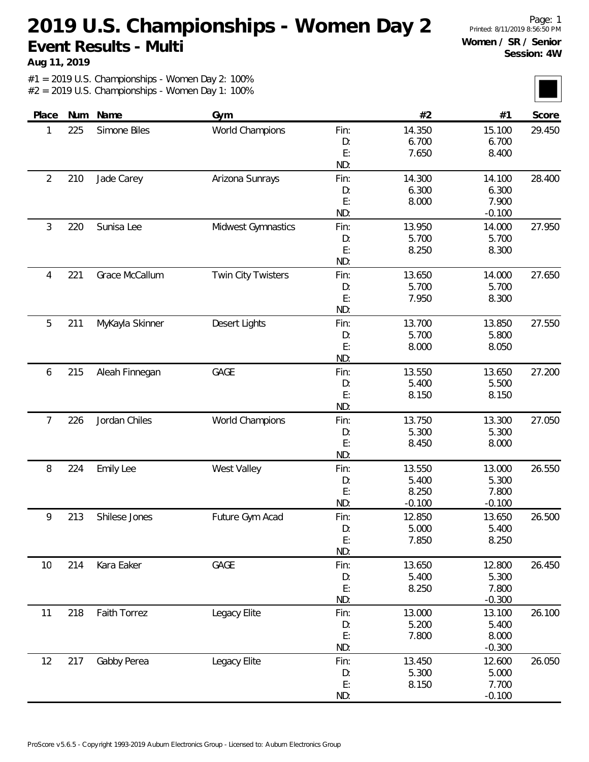**Aug 11, 2019**

Page: 1 Printed: 8/11/2019 8:56:50 PM **Women / SR / Senior Session: 4W**

| Place          | Num | Name                | Gym                       |      | #2       | #1       | Score  |
|----------------|-----|---------------------|---------------------------|------|----------|----------|--------|
| 1              | 225 | Simone Biles        | World Champions           | Fin: | 14.350   | 15.100   | 29.450 |
|                |     |                     |                           | D:   | 6.700    | 6.700    |        |
|                |     |                     |                           | E:   | 7.650    | 8.400    |        |
|                |     |                     |                           | ND:  |          |          |        |
| $\overline{2}$ | 210 | Jade Carey          | Arizona Sunrays           | Fin: | 14.300   | 14.100   | 28.400 |
|                |     |                     |                           | D:   | 6.300    | 6.300    |        |
|                |     |                     |                           | E:   | 8.000    | 7.900    |        |
|                |     |                     |                           | ND:  |          | $-0.100$ |        |
| 3              | 220 | Sunisa Lee          | Midwest Gymnastics        | Fin: | 13.950   | 14.000   | 27.950 |
|                |     |                     |                           | D:   | 5.700    | 5.700    |        |
|                |     |                     |                           | E:   | 8.250    | 8.300    |        |
|                |     |                     |                           | ND:  |          |          |        |
| 4              | 221 | Grace McCallum      | <b>Twin City Twisters</b> | Fin: | 13.650   | 14.000   | 27.650 |
|                |     |                     |                           | D:   | 5.700    | 5.700    |        |
|                |     |                     |                           | E:   | 7.950    | 8.300    |        |
|                |     |                     |                           | ND:  |          |          |        |
| 5              | 211 | MyKayla Skinner     | Desert Lights             | Fin: | 13.700   | 13.850   | 27.550 |
|                |     |                     |                           | D:   | 5.700    | 5.800    |        |
|                |     |                     |                           | E:   | 8.000    | 8.050    |        |
|                |     |                     |                           | ND:  |          |          |        |
| 6              | 215 | Aleah Finnegan      | GAGE                      | Fin: | 13.550   | 13.650   | 27.200 |
|                |     |                     |                           | D:   | 5.400    | 5.500    |        |
|                |     |                     |                           | E:   | 8.150    | 8.150    |        |
|                |     |                     |                           | ND:  |          |          |        |
| 7              | 226 | Jordan Chiles       | World Champions           | Fin: | 13.750   | 13.300   | 27.050 |
|                |     |                     |                           | D:   | 5.300    | 5.300    |        |
|                |     |                     |                           | E:   | 8.450    | 8.000    |        |
|                |     |                     |                           | ND:  |          |          |        |
| 8              | 224 | <b>Emily Lee</b>    | West Valley               | Fin: | 13.550   | 13.000   | 26.550 |
|                |     |                     |                           | D:   | 5.400    | 5.300    |        |
|                |     |                     |                           | E:   | 8.250    | 7.800    |        |
|                |     |                     |                           | ND:  | $-0.100$ | $-0.100$ |        |
| 9              | 213 | Shilese Jones       | Future Gym Acad           | Fin: | 12.850   | 13.650   | 26.500 |
|                |     |                     |                           | D:   | 5.000    | 5.400    |        |
|                |     |                     |                           | E:   | 7.850    | 8.250    |        |
|                |     |                     |                           | ND:  |          |          |        |
| 10             | 214 | Kara Eaker          | GAGE                      | Fin: | 13.650   | 12.800   | 26.450 |
|                |     |                     |                           | D:   | 5.400    | 5.300    |        |
|                |     |                     |                           | E:   | 8.250    | 7.800    |        |
|                |     |                     |                           | ND:  |          | $-0.300$ |        |
| 11             | 218 | <b>Faith Torrez</b> | Legacy Elite              | Fin: | 13.000   | 13.100   | 26.100 |
|                |     |                     |                           | D:   | 5.200    | 5.400    |        |
|                |     |                     |                           | E:   | 7.800    | 8.000    |        |
|                |     |                     |                           | ND:  |          | $-0.300$ |        |
| 12             | 217 | Gabby Perea         | Legacy Elite              | Fin: | 13.450   | 12.600   | 26.050 |
|                |     |                     |                           | D:   | 5.300    | 5.000    |        |
|                |     |                     |                           | E:   | 8.150    | 7.700    |        |
|                |     |                     |                           | ND:  |          | $-0.100$ |        |